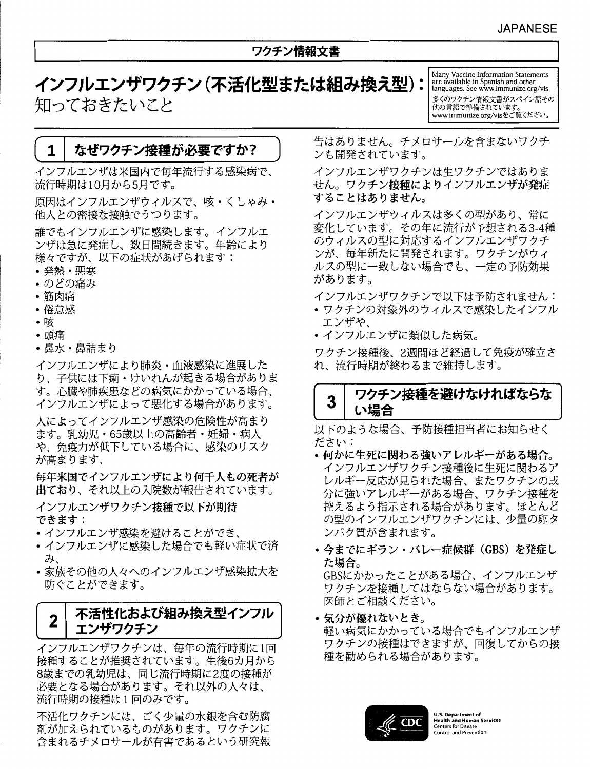# ワクチン情報文書

インフルエンザワクチン (不活化型または組み換え型): 知っておきたいこと

Many Vaccine Information Statements<br>are available in Spanish and other<br>languages. See www.immunize.org/vis 多くのワクチン情報文書がスペイン語その 他の言語で準備されています。 www.immunize.org/visをご覧ください。

#### なぜワクチン接種が必要ですか?  $\mathbf 1$

インフルエンザは米国内で毎年流行する感染病で、 流行時期は10月から5月です。

原因はインフルエンザウィルスで、咳・くしゃみ・ 他人との密接な接触でうつります。

誰でもインフルエンザに感染します。インフルエ ンザは急に発症し、数日間続きます。年齢により 様々ですが、以下の症状があげられます:

- 発熱・悪寒
- •のどの痛み
- 筋肉痛
- 倦怠感
- ▪咳
- ・頭痛
- 鼻水・鼻詰まり

インフルエンザにより肺炎・血液感染に進展した り、子供には下痢・けいれんが起きる場合がありま す。心臓や肺疾患などの病気にかかっている場合、 インフルエンザによって悪化する場合があります。

人によってインフルエンザ感染の危険性が高まり ます。乳幼児・65歳以上の高齢者・妊婦・病人 や、免疫力が低下している場合に、感染のリスク が高まります、

毎年米国でインフルエンザにより何千人もの死者が 出ており、それ以上の入院数が報告されています。

インフルエンザワクチン接種で以下が期待 できます:

- インフルエンザ感染を避けることができ、
- インフルエンザに感染した場合でも軽い症状で済 み、
- 家族その他の人々へのインフルエンザ感染拡大を 防ぐことができます。

### 不活性化および組み換え型インフル  $\mathbf{2}$ エンザワクチン

インフルエンザワクチンは、毎年の流行時期に1回 接種することが推奨されています。生後6カ月から 8歳までの乳幼児は、同じ流行時期に2度の接種が 必要となる場合があります。それ以外の人々は、 流行時期の接種は1回のみです。

不活化ワクチンには、ごく少量の水銀を含む防腐 剤が加えられているものがあります。ワクチンに 含まれるチメロサールが有害であるという研究報 告はありません。チメロサールを含まないワクチ ンも開発されています。

インフルエンザワクチンは生ワクチンではありま せん。ワクチン接種によりインフルエンザが発症 することはありません。

インフルエンザウィルスは多くの型があり、常に 変化しています。その年に流行が予想される3-4種 のウィルスの型に対応するインフルエンザワクチ ンが、毎年新たに開発されます。ワクチンがウィ ルスの型に一致しない場合でも、一定の予防効果 があります。

インフルエンザワクチンで以下は予防されません:

- ワクチンの対象外のウィルスで感染したインフル エンザや、
- ・インフルエンザに類似した病気。

ワクチン接種後、2週間ほど経過して免疫が確立さ れ、流行時期が終わるまで維持します。

## ワクチン接種を避けなければならな  $\overline{\mathbf{3}}$ い場合

以下のような場合、予防接種担当者にお知らせく ださい:

- 何かに生死に関わる強いアレルギーがある場合。 インフルエンザワクチン接種後に生死に関わるア レルギー反応が見られた場合、またワクチンの成 分に強いアレルギーがある場合、ワクチン接種を 控えるよう指示される場合があります。ほとんど の型のインフルエンザワクチンには、少量の卵タ ンパク質が含まれます。
- 今までにギラン・バレー症候群 (GBS) を発症し た場合。

GBSにかかったことがある場合、インフルエンザ ワクチンを接種してはならない場合があります。 医師とご相談ください。

・気分が優れないとき。 軽い病気にかかっている場合でもインフルエンザ ワクチンの接種はできますが、回復してからの接 種を勧められる場合があります。



J.S. Department of **Health and Huma** Centers for Disease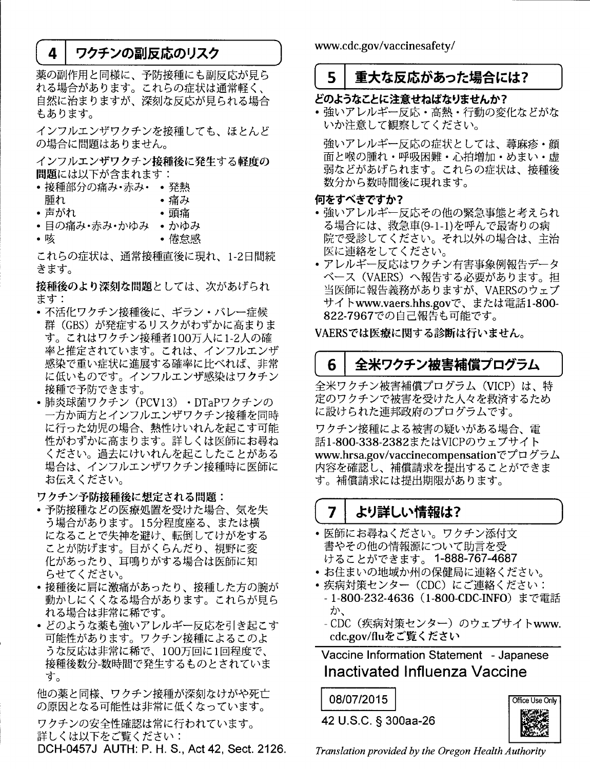#### ワクチンの副反応のリスク 4

薬の副作用と同様に、予防接種にも副反応が見ら 。<br>れる場合があります。これらの症状は通常軽く、 自然に治まりますが、深刻な反応が見られる場合 もあります。

インフルエンザワクチンを接種しても、ほとんど の場合に問題はありません。

インフルエンザワクチン接種後に発生する軽度の 問題には以下が含まれます:

- •接種部分の痛み・赤み・ 発熱
- 腫れ • 痛み
- ・声がれ ・頭痛
- •目の痛み・赤み・かゆみ かゆみ
- ●咳 • 倦怠感

これらの症状は、通常接種直後に現れ、1-2日間続 きます。

接種後のより深刻な問題としては、次があげられ ます:

- 不活化ワクチン接種後に、 ギラン・バレー症候 群(GBS)が発症するリスクがわずかに高まりま す。これはワクチン接種者100万人に1-2人の確 率と推定されています。これは、インフルエンザ 感染で重い症状に進展する確率に比べれば、非常 に低いものです。インフルエンザ感染はワクチン 接種で予防できます。
- 肺炎球菌ワクチン (PCV13) · DTaPワクチンの 一方か両方とインフルエンザワクチン接種を同時 に行った幼児の場合、熱性けいれんを起こす可能 性がわずかに高まります。詳しくは医師にお尋ね ください。過去にけいれんを起こしたことがある 場合は、インフルエンザワクチン接種時に医師に お伝えください。

ワクチン予防接種後に想定される問題:

- 予防接種などの医療処置を受けた場合、気を失 う場合があります。15分程度座る、または横 になることで失神を避け、転倒してけがをする ことが防げます。目がくらんだり、視野に変 化があったり、耳鳴りがする場合は医師に知 らせてください。
- •接種後に肩に激痛があったり、接種した方の腕が 動かしにくくなる場合があります。これらが見ら れる場合は非常に稀です。
- どのような薬も強いアレルギー反応を引き起こす 可能性があります。ワクチン接種によるこのよ うな反応は非常に稀で、100万回に1回程度で、 接種後数分-数時間で発生するものとされていま す。

他の薬と同様、ワクチン接種が深刻なけがや死亡 の原因となる可能性は非常に低くなっています。

ワクチンの安全性確認は常に行われています。 詳しくは以下をご覧ください:

DCH-0457J AUTH: P. H. S., Act 42, Sect. 2126.

www.cdc.gov/vaccinesafety/

#### 5 重大な反応があった場合には?

# どのようなことに注意せねばなりませんか?

•強いアレルギー反応・高熱・行動の変化などがな いか注意して観察してください。

強いアレルギー反応の症状としては、蕁麻疹・顔 面と喉の腫れ・呼吸困難・心拍増加・めまい・虚 弱などがあげられます。これらの症状は、接種後 数分から数時間後に現れます。

## 何をすべきですか?

- 強いアレルギー反応その他の緊急事態と考えられ る場合には、救急車(9-1-1)を呼んで最寄りの病 院で受診してください。それ以外の場合は、主治 医に連絡をしてください。
- アレルギー反応はワクチン有害事象例報告データ ベース (VAERS) へ報告する必要があります。担 当医師に報告義務がありますが、VAERSのウェブ サイトwww.vaers.hhs.govで、または電話1-800-822-7967での自己報告も可能です。

VAERSでは医療に関する診断は行いません。

### 全米ワクチン被害補償プログラム 6

全米ワクチン被害補償プログラム (VICP) は、特 定のワクチンで被害を受けた人々を救済するため に設けられた連邦政府のプログラムです。

ワクチン接種による被害の疑いがある場合、雷 話1-800-338-2382またはVICPのウェブサイト www.hrsa.gov/vaccinecompensationでプログラム 内容を確認し、補償請求を提出することができま す。補償請求には提出期限があります。

#### より詳しい情報は? 7

- 医師にお尋ねください。ワクチン添付文 書やその他の情報源について助言を受 けることができます。1-888-767-4687
- お住まいの地域か州の保健局に連絡ください。
- •疾病対策センター (CDC) にご連絡ください:
	- 1-800-232-4636(1-800-CDC-INFO)まで電話 か、
	- CDC(疾病対策センター)のウェブサイトwww. cdc.gov/fluをご覧ください

Vaccine Information Statement - Japanese Inactivated Influenza Vaccine

## 08/07/2015

42 U.S.C. § 300aa-26



Translation provided by the Oregon Health Authority